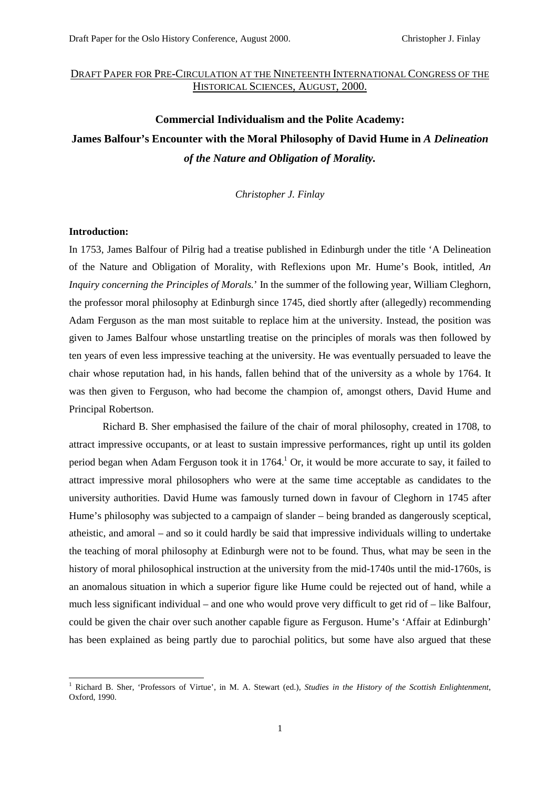## DRAFT PAPER FOR PRE-CIRCULATION AT THE NINETEENTH INTERNATIONAL CONGRESS OF THE HISTORICAL SCIENCES, AUGUST, 2000.

# **Commercial Individualism and the Polite Academy: James Balfour's Encounter with the Moral Philosophy of David Hume in** *A Delineation of the Nature and Obligation of Morality.*

*Christopher J. Finlay*

### **Introduction:**

In 1753, James Balfour of Pilrig had a treatise published in Edinburgh under the title 'A Delineation of the Nature and Obligation of Morality, with Reflexions upon Mr. Hume's Book, intitled, *An Inquiry concerning the Principles of Morals.*' In the summer of the following year, William Cleghorn, the professor moral philosophy at Edinburgh since 1745, died shortly after (allegedly) recommending Adam Ferguson as the man most suitable to replace him at the university. Instead, the position was given to James Balfour whose unstartling treatise on the principles of morals was then followed by ten years of even less impressive teaching at the university. He was eventually persuaded to leave the chair whose reputation had, in his hands, fallen behind that of the university as a whole by 1764. It was then given to Ferguson, who had become the champion of, amongst others, David Hume and Principal Robertson.

Richard B. Sher emphasised the failure of the chair of moral philosophy, created in 1708, to attract impressive occupants, or at least to sustain impressive performances, right up until its golden period began when Adam Ferguson took it in 1764.<sup>1</sup> Or, it would be more accurate to say, it failed to attract impressive moral philosophers who were at the same time acceptable as candidates to the university authorities. David Hume was famously turned down in favour of Cleghorn in 1745 after Hume's philosophy was subjected to a campaign of slander – being branded as dangerously sceptical, atheistic, and amoral – and so it could hardly be said that impressive individuals willing to undertake the teaching of moral philosophy at Edinburgh were not to be found. Thus, what may be seen in the history of moral philosophical instruction at the university from the mid-1740s until the mid-1760s, is an anomalous situation in which a superior figure like Hume could be rejected out of hand, while a much less significant individual – and one who would prove very difficult to get rid of – like Balfour, could be given the chair over such another capable figure as Ferguson. Hume's 'Affair at Edinburgh' has been explained as being partly due to parochial politics, but some have also argued that these

 1 Richard B. Sher, 'Professors of Virtue', in M. A. Stewart (ed.), *Studies in the History of the Scottish Enlightenment*, Oxford, 1990.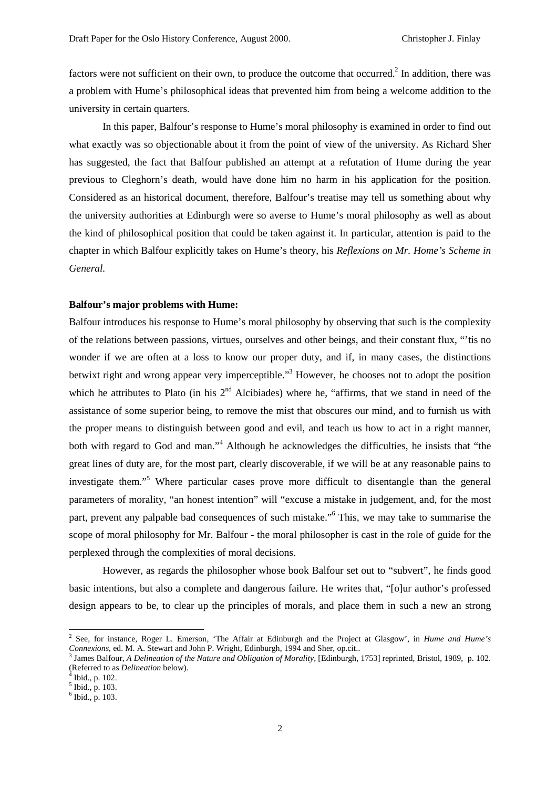factors were not sufficient on their own, to produce the outcome that occurred.<sup>2</sup> In addition, there was a problem with Hume's philosophical ideas that prevented him from being a welcome addition to the university in certain quarters.

In this paper, Balfour's response to Hume's moral philosophy is examined in order to find out what exactly was so objectionable about it from the point of view of the university. As Richard Sher has suggested, the fact that Balfour published an attempt at a refutation of Hume during the year previous to Cleghorn's death, would have done him no harm in his application for the position. Considered as an historical document, therefore, Balfour's treatise may tell us something about why the university authorities at Edinburgh were so averse to Hume's moral philosophy as well as about the kind of philosophical position that could be taken against it. In particular, attention is paid to the chapter in which Balfour explicitly takes on Hume's theory, his *Reflexions on Mr. Home's Scheme in General.*

#### **Balfour's major problems with Hume:**

Balfour introduces his response to Hume's moral philosophy by observing that such is the complexity of the relations between passions, virtues, ourselves and other beings, and their constant flux, "'tis no wonder if we are often at a loss to know our proper duty, and if, in many cases, the distinctions betwixt right and wrong appear very imperceptible."<sup>3</sup> However, he chooses not to adopt the position which he attributes to Plato (in his  $2<sup>nd</sup>$  Alcibiades) where he, "affirms, that we stand in need of the assistance of some superior being, to remove the mist that obscures our mind, and to furnish us with the proper means to distinguish between good and evil, and teach us how to act in a right manner, both with regard to God and man."<sup>4</sup> Although he acknowledges the difficulties, he insists that "the great lines of duty are, for the most part, clearly discoverable, if we will be at any reasonable pains to investigate them."<sup>5</sup> Where particular cases prove more difficult to disentangle than the general parameters of morality, "an honest intention" will "excuse a mistake in judgement, and, for the most part, prevent any palpable bad consequences of such mistake."<sup>6</sup> This, we may take to summarise the scope of moral philosophy for Mr. Balfour - the moral philosopher is cast in the role of guide for the perplexed through the complexities of moral decisions.

However, as regards the philosopher whose book Balfour set out to "subvert", he finds good basic intentions, but also a complete and dangerous failure. He writes that, "[o]ur author's professed design appears to be, to clear up the principles of morals, and place them in such a new an strong

Ibid., p. 102.

 2 See, for instance, Roger L. Emerson, 'The Affair at Edinburgh and the Project at Glasgow', in *Hume and Hume's Connexions*, ed. M. A. Stewart and John P. Wright, Edinburgh, 1994 and Sher, op.cit..

<sup>&</sup>lt;sup>3</sup> James Balfour, *A Delineation of the Nature and Obligation of Morality*, [Edinburgh, 1753] reprinted, Bristol, 1989, p. 102. (Referred to as *Delineation* below). <sup>4</sup>

<sup>&</sup>lt;sup>5</sup> Ibid., p. 103.

Ibid.*,* p. 103.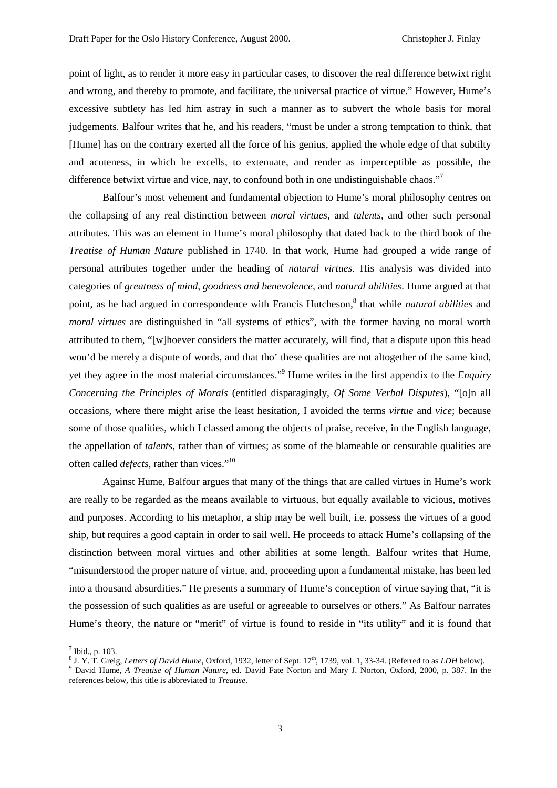point of light, as to render it more easy in particular cases, to discover the real difference betwixt right and wrong, and thereby to promote, and facilitate, the universal practice of virtue." However, Hume's excessive subtlety has led him astray in such a manner as to subvert the whole basis for moral judgements. Balfour writes that he, and his readers, "must be under a strong temptation to think, that [Hume] has on the contrary exerted all the force of his genius, applied the whole edge of that subtilty and acuteness, in which he excells, to extenuate, and render as imperceptible as possible, the difference betwixt virtue and vice, nay, to confound both in one undistinguishable chaos."<sup>7</sup>

Balfour's most vehement and fundamental objection to Hume's moral philosophy centres on the collapsing of any real distinction between *moral virtues,* and *talents,* and other such personal attributes. This was an element in Hume's moral philosophy that dated back to the third book of the *Treatise of Human Nature* published in 1740. In that work, Hume had grouped a wide range of personal attributes together under the heading of *natural virtues.* His analysis was divided into categories of *greatness of mind, goodness and benevolence,* and *natural abilities*. Hume argued at that point, as he had argued in correspondence with Francis Hutcheson,<sup>8</sup> that while *natural abilities* and *moral virtues* are distinguished in "all systems of ethics", with the former having no moral worth attributed to them, "[w]hoever considers the matter accurately, will find, that a dispute upon this head wou'd be merely a dispute of words, and that tho' these qualities are not altogether of the same kind, yet they agree in the most material circumstances."9 Hume writes in the first appendix to the *Enquiry Concerning the Principles of Morals* (entitled disparagingly, *Of Some Verbal Disputes*), "[o]n all occasions, where there might arise the least hesitation, I avoided the terms *virtue* and *vice*; because some of those qualities, which I classed among the objects of praise, receive, in the English language, the appellation of *talents*, rather than of virtues; as some of the blameable or censurable qualities are often called *defects*, rather than vices."<sup>10</sup>

Against Hume, Balfour argues that many of the things that are called virtues in Hume's work are really to be regarded as the means available to virtuous, but equally available to vicious, motives and purposes. According to his metaphor, a ship may be well built, i.e. possess the virtues of a good ship, but requires a good captain in order to sail well. He proceeds to attack Hume's collapsing of the distinction between moral virtues and other abilities at some length. Balfour writes that Hume, "misunderstood the proper nature of virtue, and, proceeding upon a fundamental mistake, has been led into a thousand absurdities." He presents a summary of Hume's conception of virtue saying that, "it is the possession of such qualities as are useful or agreeable to ourselves or others." As Balfour narrates Hume's theory, the nature or "merit" of virtue is found to reside in "its utility" and it is found that

 $<sup>7</sup>$  Ibid., p. 103.</sup>

<sup>&</sup>lt;sup>8</sup> J. Y. T. Greig, *Letters of David Hume*, Oxford, 1932, letter of Sept. 17<sup>th</sup>, 1739, vol. 1, 33-34. (Referred to as *LDH* below). 9 David Human *A Treating of Human Nature*, ad. David Este Norton and Mary J. Norton, Ox

David Hume*, A Treatise of Human Nature*, ed. David Fate Norton and Mary J. Norton, Oxford, 2000, p. 387. In the references below, this title is abbreviated to *Treatise*.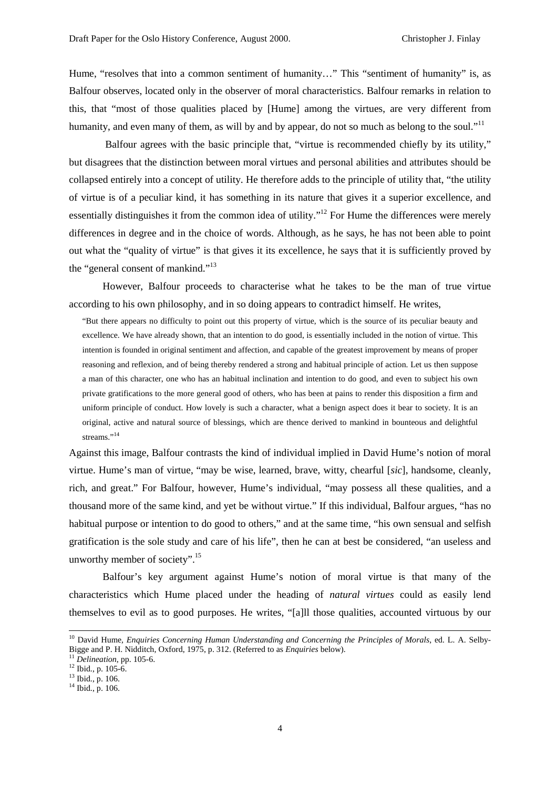Hume, "resolves that into a common sentiment of humanity..." This "sentiment of humanity" is, as Balfour observes, located only in the observer of moral characteristics. Balfour remarks in relation to this, that "most of those qualities placed by [Hume] among the virtues, are very different from humanity, and even many of them, as will by and by appear, do not so much as belong to the soul."<sup>11</sup>

 Balfour agrees with the basic principle that, "virtue is recommended chiefly by its utility," but disagrees that the distinction between moral virtues and personal abilities and attributes should be collapsed entirely into a concept of utility. He therefore adds to the principle of utility that, "the utility of virtue is of a peculiar kind, it has something in its nature that gives it a superior excellence, and essentially distinguishes it from the common idea of utility."<sup>12</sup> For Hume the differences were merely differences in degree and in the choice of words. Although, as he says, he has not been able to point out what the "quality of virtue" is that gives it its excellence, he says that it is sufficiently proved by the "general consent of mankind."<sup>13</sup>

However, Balfour proceeds to characterise what he takes to be the man of true virtue according to his own philosophy, and in so doing appears to contradict himself. He writes,

"But there appears no difficulty to point out this property of virtue, which is the source of its peculiar beauty and excellence. We have already shown, that an intention to do good, is essentially included in the notion of virtue. This intention is founded in original sentiment and affection, and capable of the greatest improvement by means of proper reasoning and reflexion, and of being thereby rendered a strong and habitual principle of action. Let us then suppose a man of this character, one who has an habitual inclination and intention to do good, and even to subject his own private gratifications to the more general good of others, who has been at pains to render this disposition a firm and uniform principle of conduct. How lovely is such a character, what a benign aspect does it bear to society. It is an original, active and natural source of blessings, which are thence derived to mankind in bounteous and delightful streams."<sup>14</sup>

Against this image, Balfour contrasts the kind of individual implied in David Hume's notion of moral virtue. Hume's man of virtue, "may be wise, learned, brave, witty, chearful [*sic*], handsome, cleanly, rich, and great." For Balfour, however, Hume's individual, "may possess all these qualities, and a thousand more of the same kind, and yet be without virtue." If this individual, Balfour argues, "has no habitual purpose or intention to do good to others," and at the same time, "his own sensual and selfish gratification is the sole study and care of his life", then he can at best be considered, "an useless and unworthy member of society".<sup>15</sup>

Balfour's key argument against Hume's notion of moral virtue is that many of the characteristics which Hume placed under the heading of *natural virtues* could as easily lend themselves to evil as to good purposes. He writes, "[a]ll those qualities, accounted virtuous by our

<sup>&</sup>lt;sup>10</sup> David Hume, Enquiries Concerning Human Understanding and Concerning the Principles of Morals, ed. L. A. Selby-Bigge and P. H. Nidditch, Oxford, 1975, p. 312. (Referred to as *Enquiries* below). <sup>11</sup> Delineation, pp. 105-6. <sup>12</sup> Ibid., p. 105-6.

<sup>13</sup> Ibid., p. 106.

<sup>14</sup> Ibid., p. 106.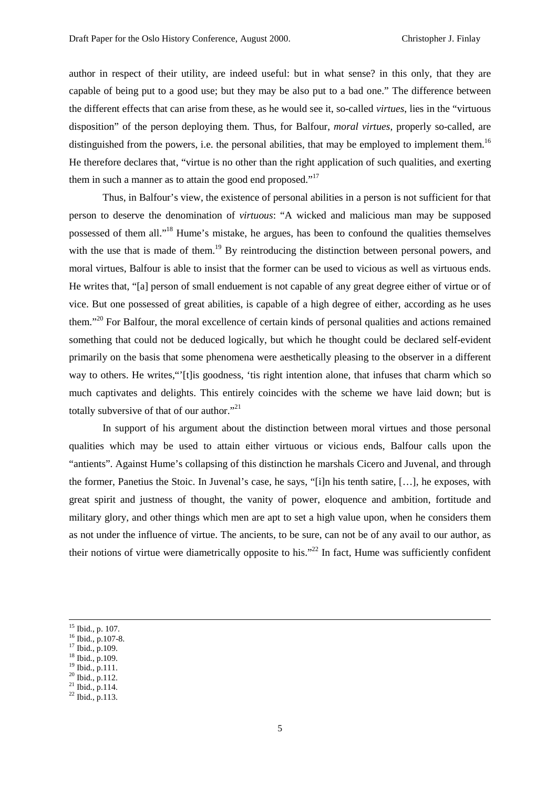author in respect of their utility, are indeed useful: but in what sense? in this only, that they are capable of being put to a good use; but they may be also put to a bad one." The difference between the different effects that can arise from these, as he would see it, so-called *virtues*, lies in the "virtuous disposition" of the person deploying them. Thus, for Balfour, *moral virtues*, properly so-called, are distinguished from the powers, i.e. the personal abilities, that may be employed to implement them.<sup>16</sup> He therefore declares that, "virtue is no other than the right application of such qualities, and exerting them in such a manner as to attain the good end proposed."<sup>17</sup>

Thus, in Balfour's view, the existence of personal abilities in a person is not sufficient for that person to deserve the denomination of *virtuous*: "A wicked and malicious man may be supposed possessed of them all."18 Hume's mistake, he argues, has been to confound the qualities themselves with the use that is made of them.<sup>19</sup> By reintroducing the distinction between personal powers, and moral virtues, Balfour is able to insist that the former can be used to vicious as well as virtuous ends. He writes that, "[a] person of small enduement is not capable of any great degree either of virtue or of vice. But one possessed of great abilities, is capable of a high degree of either, according as he uses them."20 For Balfour, the moral excellence of certain kinds of personal qualities and actions remained something that could not be deduced logically, but which he thought could be declared self-evident primarily on the basis that some phenomena were aesthetically pleasing to the observer in a different way to others. He writes,"<sup>'</sup>[t]is goodness, 'tis right intention alone, that infuses that charm which so much captivates and delights. This entirely coincides with the scheme we have laid down; but is totally subversive of that of our author."<sup>21</sup>

In support of his argument about the distinction between moral virtues and those personal qualities which may be used to attain either virtuous or vicious ends, Balfour calls upon the "antients". Against Hume's collapsing of this distinction he marshals Cicero and Juvenal, and through the former, Panetius the Stoic. In Juvenal's case, he says, "[i]n his tenth satire, […], he exposes, with great spirit and justness of thought, the vanity of power, eloquence and ambition, fortitude and military glory, and other things which men are apt to set a high value upon, when he considers them as not under the influence of virtue. The ancients, to be sure, can not be of any avail to our author, as their notions of virtue were diametrically opposite to his."<sup>22</sup> In fact, Hume was sufficiently confident

 $^{\rm 15}$  Ibid., p. 107.

 $^{16}$  Ibid., p.107-8.

<sup>&</sup>lt;sup>17</sup> Ibid., p.109.

<sup>18</sup> Ibid., p.109.

<sup>19</sup> Ibid., p.111.

 $^{20}$  Ibid., p.112.  $^{21}$  Ibid., p.114.

<sup>22</sup> Ibid., p.113.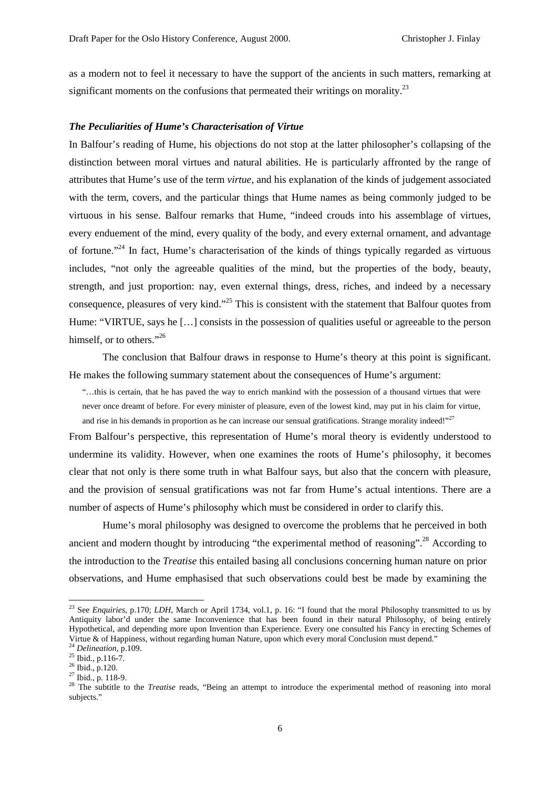as a modern not to feel it necessary to have the support of the ancients in such matters, remarking at significant moments on the confusions that permeated their writings on morality.<sup>23</sup>

#### *The Peculiarities of Hume's Characterisation of Virtue*

In Balfour's reading of Hume, his objections do not stop at the latter philosopher's collapsing of the distinction between moral virtues and natural abilities. He is particularly affronted by the range of attributes that Hume's use of the term *virtue*, and his explanation of the kinds of judgement associated with the term, covers, and the particular things that Hume names as being commonly judged to be virtuous in his sense. Balfour remarks that Hume, "indeed crouds into his assemblage of virtues, every enduement of the mind, every quality of the body, and every external ornament, and advantage of fortune."24 In fact, Hume's characterisation of the kinds of things typically regarded as virtuous includes, "not only the agreeable qualities of the mind, but the properties of the body, beauty, strength, and just proportion: nay, even external things, dress, riches, and indeed by a necessary consequence, pleasures of very kind."<sup>25</sup> This is consistent with the statement that Balfour quotes from Hume: "VIRTUE, says he […] consists in the possession of qualities useful or agreeable to the person himself, or to others."<sup>26</sup>

The conclusion that Balfour draws in response to Hume's theory at this point is significant. He makes the following summary statement about the consequences of Hume's argument:

"…this is certain, that he has paved the way to enrich mankind with the possession of a thousand virtues that were never once dreamt of before. For every minister of pleasure, even of the lowest kind, may put in his claim for virtue, and rise in his demands in proportion as he can increase our sensual gratifications. Strange morality indeed!" $^{27}$ 

From Balfour's perspective, this representation of Hume's moral theory is evidently understood to undermine its validity. However, when one examines the roots of Hume's philosophy, it becomes clear that not only is there some truth in what Balfour says, but also that the concern with pleasure, and the provision of sensual gratifications was not far from Hume's actual intentions. There are a number of aspects of Hume's philosophy which must be considered in order to clarify this.

Hume's moral philosophy was designed to overcome the problems that he perceived in both ancient and modern thought by introducing "the experimental method of reasoning".<sup>28</sup> According to the introduction to the *Treatise* this entailed basing all conclusions concerning human nature on prior observations, and Hume emphasised that such observations could best be made by examining the

<sup>&</sup>lt;sup>23</sup> See *Enquiries*, p.170; *LDH*, March or April 1734, vol.1, p. 16: "I found that the moral Philosophy transmitted to us by Antiquity labor'd under the same Inconvenience that has been found in their natural Philosophy, of being entirely Hypothetical, and depending more upon Invention than Experience. Every one consulted his Fancy in erecting Schemes of Virtue & of Happiness, without regarding human Nature, upon which every moral Conclusion must depend."

<sup>&</sup>lt;sup>24</sup> *Delineation*, p.109.<br><sup>25</sup> Ibid., p.116-7.

 $^{26}$  Ibid., p.120.

 $27$  Ibid., p. 118-9.

<sup>&</sup>lt;sup>28</sup> The subtitle to the *Treatise* reads, "Being an attempt to introduce the experimental method of reasoning into moral subjects."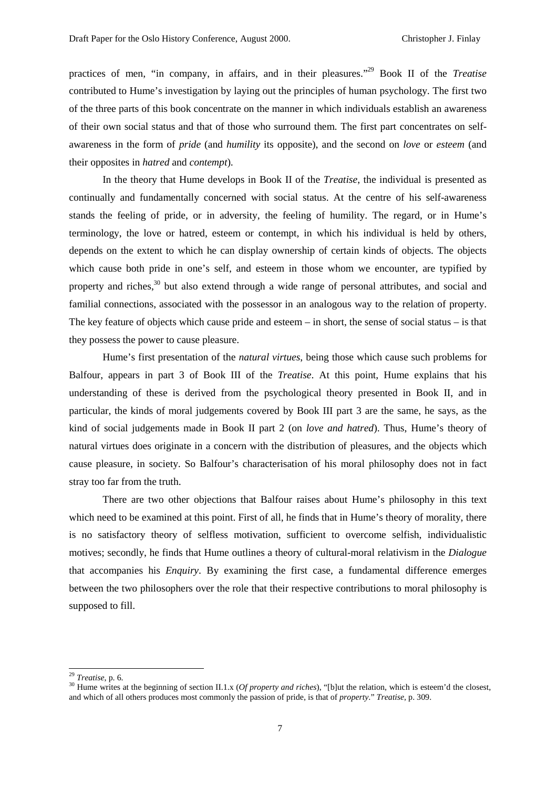practices of men, "in company, in affairs, and in their pleasures."29 Book II of the *Treatise* contributed to Hume's investigation by laying out the principles of human psychology. The first two of the three parts of this book concentrate on the manner in which individuals establish an awareness of their own social status and that of those who surround them. The first part concentrates on selfawareness in the form of *pride* (and *humility* its opposite), and the second on *love* or *esteem* (and their opposites in *hatred* and *contempt*).

In the theory that Hume develops in Book II of the *Treatise*, the individual is presented as continually and fundamentally concerned with social status. At the centre of his self-awareness stands the feeling of pride, or in adversity, the feeling of humility. The regard, or in Hume's terminology, the love or hatred, esteem or contempt, in which his individual is held by others, depends on the extent to which he can display ownership of certain kinds of objects. The objects which cause both pride in one's self, and esteem in those whom we encounter, are typified by property and riches,<sup>30</sup> but also extend through a wide range of personal attributes, and social and familial connections, associated with the possessor in an analogous way to the relation of property. The key feature of objects which cause pride and esteem – in short, the sense of social status – is that they possess the power to cause pleasure.

Hume's first presentation of the *natural virtues*, being those which cause such problems for Balfour, appears in part 3 of Book III of the *Treatise*. At this point, Hume explains that his understanding of these is derived from the psychological theory presented in Book II, and in particular, the kinds of moral judgements covered by Book III part 3 are the same, he says, as the kind of social judgements made in Book II part 2 (on *love and hatred*). Thus, Hume's theory of natural virtues does originate in a concern with the distribution of pleasures, and the objects which cause pleasure, in society. So Balfour's characterisation of his moral philosophy does not in fact stray too far from the truth.

There are two other objections that Balfour raises about Hume's philosophy in this text which need to be examined at this point. First of all, he finds that in Hume's theory of morality, there is no satisfactory theory of selfless motivation, sufficient to overcome selfish, individualistic motives; secondly, he finds that Hume outlines a theory of cultural-moral relativism in the *Dialogue* that accompanies his *Enquiry*. By examining the first case, a fundamental difference emerges between the two philosophers over the role that their respective contributions to moral philosophy is supposed to fill.

 $^{\rm 29}$  Treatise, p. 6.

<sup>&</sup>lt;sup>30</sup> Hume writes at the beginning of section II.1.x (*Of property and riches*), "[b]ut the relation, which is esteem'd the closest, and which of all others produces most commonly the passion of pride, is that of *property*." *Treatise*, p. 309.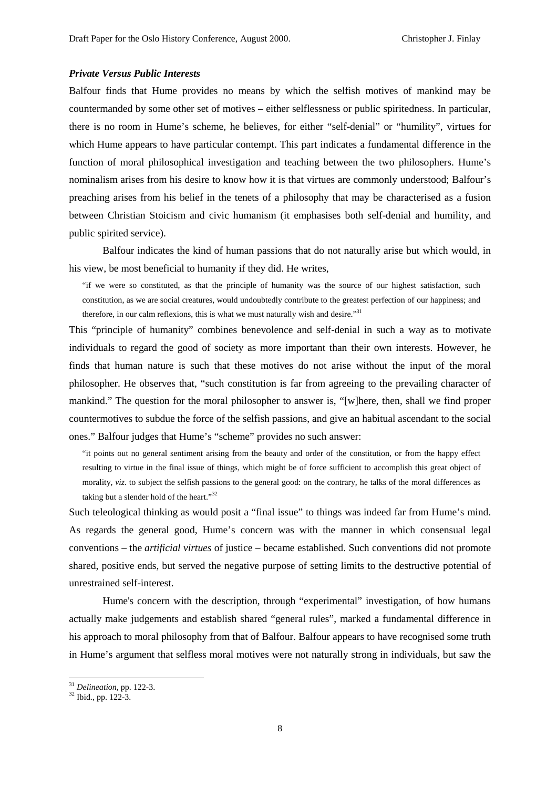#### *Private Versus Public Interests*

Balfour finds that Hume provides no means by which the selfish motives of mankind may be countermanded by some other set of motives – either selflessness or public spiritedness. In particular, there is no room in Hume's scheme, he believes, for either "self-denial" or "humility", virtues for which Hume appears to have particular contempt. This part indicates a fundamental difference in the function of moral philosophical investigation and teaching between the two philosophers. Hume's nominalism arises from his desire to know how it is that virtues are commonly understood; Balfour's preaching arises from his belief in the tenets of a philosophy that may be characterised as a fusion between Christian Stoicism and civic humanism (it emphasises both self-denial and humility, and public spirited service).

Balfour indicates the kind of human passions that do not naturally arise but which would, in his view, be most beneficial to humanity if they did. He writes,

"if we were so constituted, as that the principle of humanity was the source of our highest satisfaction, such constitution, as we are social creatures, would undoubtedly contribute to the greatest perfection of our happiness; and therefore, in our calm reflexions, this is what we must naturally wish and desire."<sup>31</sup>

This "principle of humanity" combines benevolence and self-denial in such a way as to motivate individuals to regard the good of society as more important than their own interests. However, he finds that human nature is such that these motives do not arise without the input of the moral philosopher. He observes that, "such constitution is far from agreeing to the prevailing character of mankind." The question for the moral philosopher to answer is, "[w]here, then, shall we find proper countermotives to subdue the force of the selfish passions, and give an habitual ascendant to the social ones." Balfour judges that Hume's "scheme" provides no such answer:

"it points out no general sentiment arising from the beauty and order of the constitution, or from the happy effect resulting to virtue in the final issue of things, which might be of force sufficient to accomplish this great object of morality, *viz.* to subject the selfish passions to the general good: on the contrary, he talks of the moral differences as taking but a slender hold of the heart."<sup>32</sup>

Such teleological thinking as would posit a "final issue" to things was indeed far from Hume's mind. As regards the general good, Hume's concern was with the manner in which consensual legal conventions – the *artificial virtues* of justice – became established. Such conventions did not promote shared, positive ends, but served the negative purpose of setting limits to the destructive potential of unrestrained self-interest.

Hume's concern with the description, through "experimental" investigation, of how humans actually make judgements and establish shared "general rules", marked a fundamental difference in his approach to moral philosophy from that of Balfour. Balfour appears to have recognised some truth in Hume's argument that selfless moral motives were not naturally strong in individuals, but saw the

<sup>&</sup>lt;sup>31</sup> *Delineation*, pp. 122-3.<br><sup>32</sup> Ibid., pp. 122-3.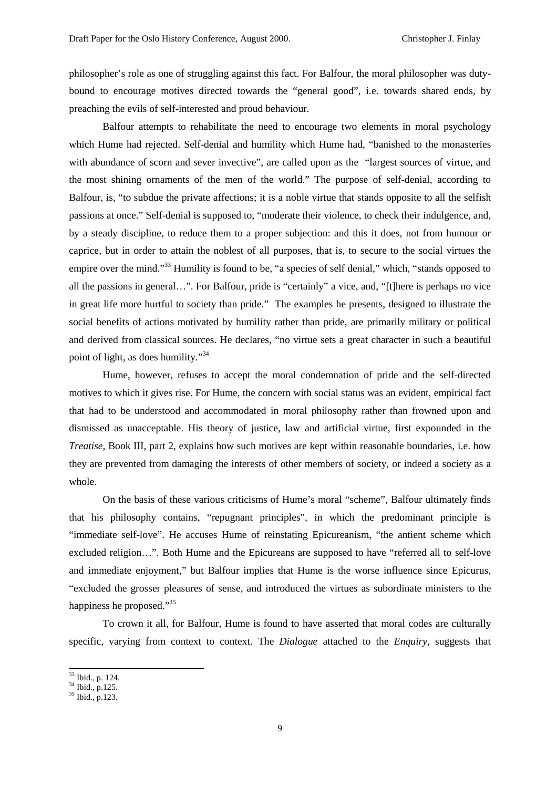philosopher's role as one of struggling against this fact. For Balfour, the moral philosopher was dutybound to encourage motives directed towards the "general good", i.e. towards shared ends, by preaching the evils of self-interested and proud behaviour.

Balfour attempts to rehabilitate the need to encourage two elements in moral psychology which Hume had rejected. Self-denial and humility which Hume had, "banished to the monasteries with abundance of scorn and sever invective", are called upon as the "largest sources of virtue, and the most shining ornaments of the men of the world." The purpose of self-denial, according to Balfour, is, "to subdue the private affections; it is a noble virtue that stands opposite to all the selfish passions at once." Self-denial is supposed to, "moderate their violence, to check their indulgence, and, by a steady discipline, to reduce them to a proper subjection: and this it does, not from humour or caprice, but in order to attain the noblest of all purposes, that is, to secure to the social virtues the empire over the mind."<sup>33</sup> Humility is found to be, "a species of self denial," which, "stands opposed to all the passions in general…". For Balfour, pride is "certainly" a vice, and, "[t]here is perhaps no vice in great life more hurtful to society than pride." The examples he presents, designed to illustrate the social benefits of actions motivated by humility rather than pride, are primarily military or political and derived from classical sources. He declares, "no virtue sets a great character in such a beautiful point of light, as does humility."34

Hume, however, refuses to accept the moral condemnation of pride and the self-directed motives to which it gives rise. For Hume, the concern with social status was an evident, empirical fact that had to be understood and accommodated in moral philosophy rather than frowned upon and dismissed as unacceptable. His theory of justice, law and artificial virtue, first expounded in the *Treatise*, Book III, part 2, explains how such motives are kept within reasonable boundaries, i.e. how they are prevented from damaging the interests of other members of society, or indeed a society as a whole.

On the basis of these various criticisms of Hume's moral "scheme", Balfour ultimately finds that his philosophy contains, "repugnant principles", in which the predominant principle is "immediate self-love". He accuses Hume of reinstating Epicureanism, "the antient scheme which excluded religion…". Both Hume and the Epicureans are supposed to have "referred all to self-love and immediate enjoyment," but Balfour implies that Hume is the worse influence since Epicurus, "excluded the grosser pleasures of sense, and introduced the virtues as subordinate ministers to the happiness he proposed."<sup>35</sup>

To crown it all, for Balfour, Hume is found to have asserted that moral codes are culturally specific, varying from context to context. The *Dialogue* attached to the *Enquiry*, suggests that

<sup>33</sup> Ibid., p. 124.

 $^{10101}$ ,  $^{110101}$ ,  $^{110101}$ ,  $^{110101}$ ,  $^{110101}$ 

<sup>35</sup> Ibid., p.123.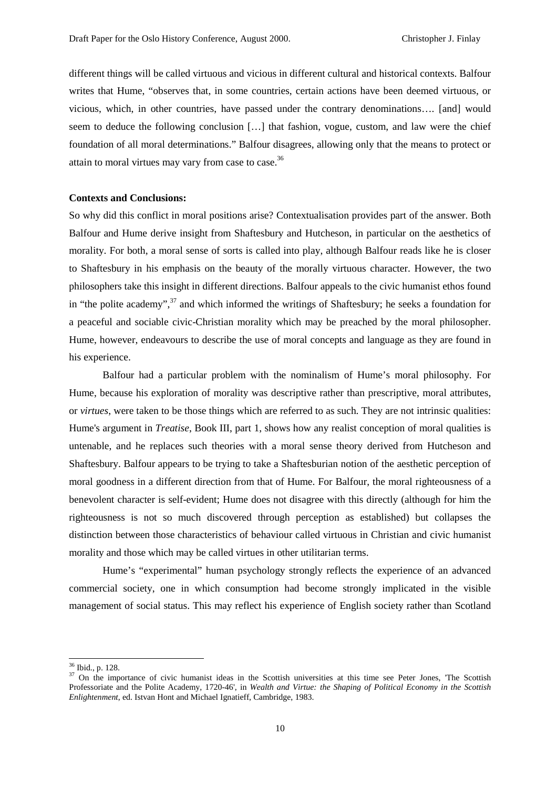different things will be called virtuous and vicious in different cultural and historical contexts. Balfour writes that Hume, "observes that, in some countries, certain actions have been deemed virtuous, or vicious, which, in other countries, have passed under the contrary denominations…. [and] would seem to deduce the following conclusion […] that fashion, vogue, custom, and law were the chief foundation of all moral determinations." Balfour disagrees, allowing only that the means to protect or attain to moral virtues may vary from case to case.<sup>36</sup>

#### **Contexts and Conclusions:**

So why did this conflict in moral positions arise? Contextualisation provides part of the answer. Both Balfour and Hume derive insight from Shaftesbury and Hutcheson, in particular on the aesthetics of morality. For both, a moral sense of sorts is called into play, although Balfour reads like he is closer to Shaftesbury in his emphasis on the beauty of the morally virtuous character. However, the two philosophers take this insight in different directions. Balfour appeals to the civic humanist ethos found in "the polite academy",<sup>37</sup> and which informed the writings of Shaftesbury; he seeks a foundation for a peaceful and sociable civic-Christian morality which may be preached by the moral philosopher. Hume, however, endeavours to describe the use of moral concepts and language as they are found in his experience.

Balfour had a particular problem with the nominalism of Hume's moral philosophy. For Hume, because his exploration of morality was descriptive rather than prescriptive, moral attributes, or *virtues*, were taken to be those things which are referred to as such. They are not intrinsic qualities: Hume's argument in *Treatise*, Book III, part 1, shows how any realist conception of moral qualities is untenable, and he replaces such theories with a moral sense theory derived from Hutcheson and Shaftesbury. Balfour appears to be trying to take a Shaftesburian notion of the aesthetic perception of moral goodness in a different direction from that of Hume. For Balfour, the moral righteousness of a benevolent character is self-evident; Hume does not disagree with this directly (although for him the righteousness is not so much discovered through perception as established) but collapses the distinction between those characteristics of behaviour called virtuous in Christian and civic humanist morality and those which may be called virtues in other utilitarian terms.

Hume's "experimental" human psychology strongly reflects the experience of an advanced commercial society, one in which consumption had become strongly implicated in the visible management of social status. This may reflect his experience of English society rather than Scotland

<sup>36</sup> Ibid., p. 128.

 $37$  On the importance of civic humanist ideas in the Scottish universities at this time see Peter Jones, 'The Scottish Professoriate and the Polite Academy, 1720-46', in *Wealth and Virtue: the Shaping of Political Economy in the Scottish Enlightenment*, ed. Istvan Hont and Michael Ignatieff, Cambridge, 1983.